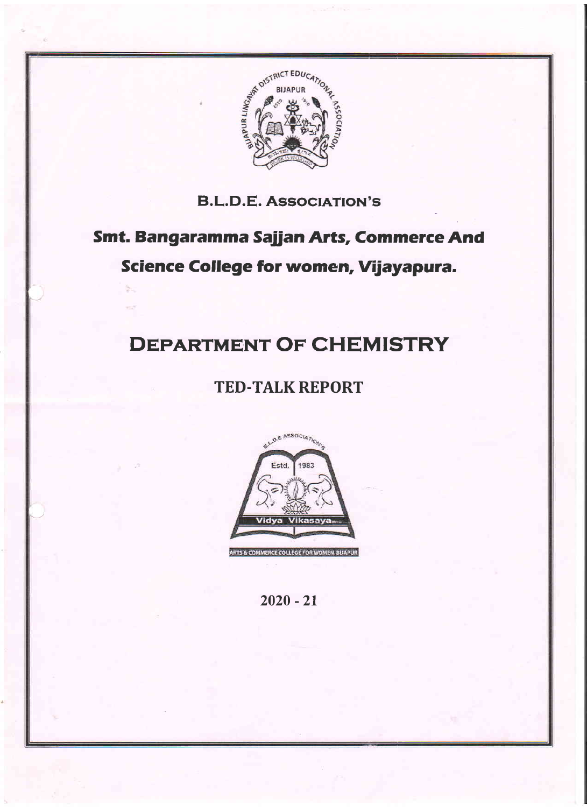

# Smt. Bangaramma Sajian Arts, Commerce And Science College for women, Vijayapura.

# DEPARTMENT OF CHEMISTRY

# TED.TALK REPORT



 $2020 - 21$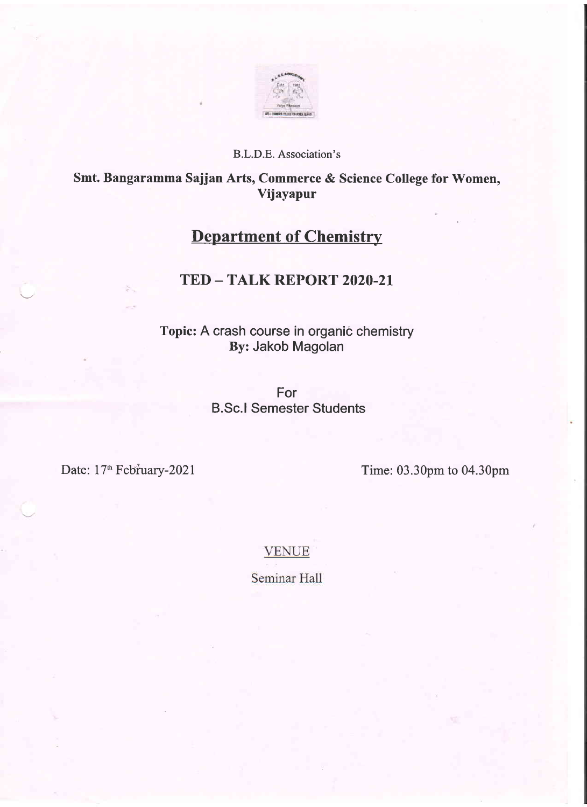

## Smt. Bangaramma Sajjan Arts, Commerce & Science College for Women, Vijayapur

# **Department of Chemistry**

## TED - TALK REPORT 2020-21

Topic: A crash course in organic chemistry By: Jakob Magolan

> For B.Sc.l Semester Students

Date: 17<sup>th</sup> February-2021 Time: 03.30pm to 04.30pm

**VENUE** 

Seminar Hall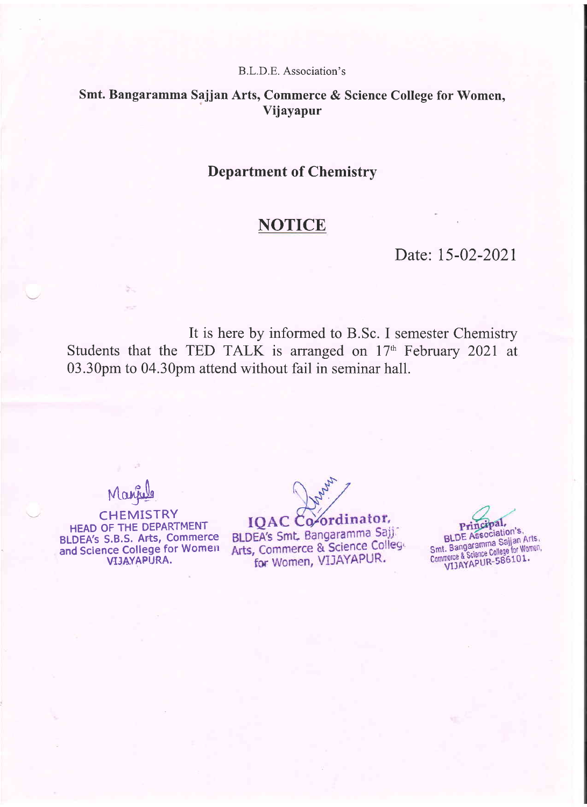### Smt. Bangaramma Sajjan Arts, Commerce & Science College for Women, Vijayapur

### Department of Chemistry

# **NOTICE**

### Date: 15-02-2021

It is here by informed to B.Sc. I semester Chemistry Students that the TED TALK is arranged on l7'h February 2021 at 03.30pm to 04.30pm attend without fail in seminar hall.

Marie

**CHEMISTRY** HEAD OF THE DEPARTMENT BLDEA's S.B.S. Arts, Commerce and Science College for Women VIJAYAPURA.

IQAC Co-ordinator,

BLDEA's Smt. Bangaramma Sajj Arts, Commerce & Science College for Women, VIJAYAPUR.

Principal, **Principal,<br>BLDE Association's.**<br>Smt. Bangaramma Sajjan Arts.<br>Commerce & Science College for Women.<br>VIJAYAPUR-586101.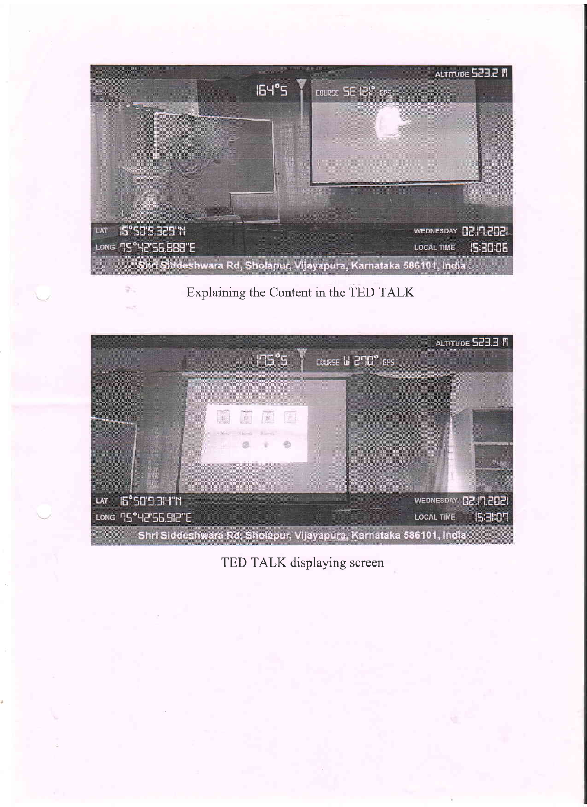

Explaining the Content in the TED TALK



TED TALK displaying screen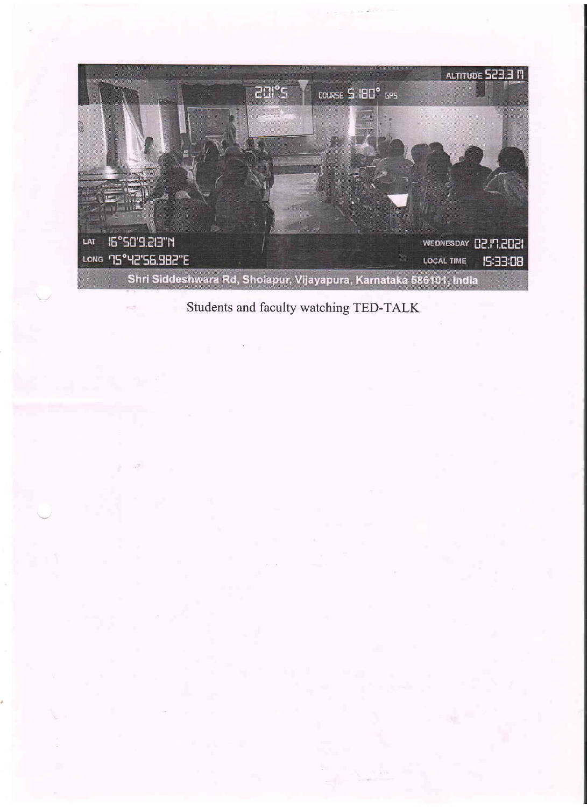

Students and faculty watching TED-TALK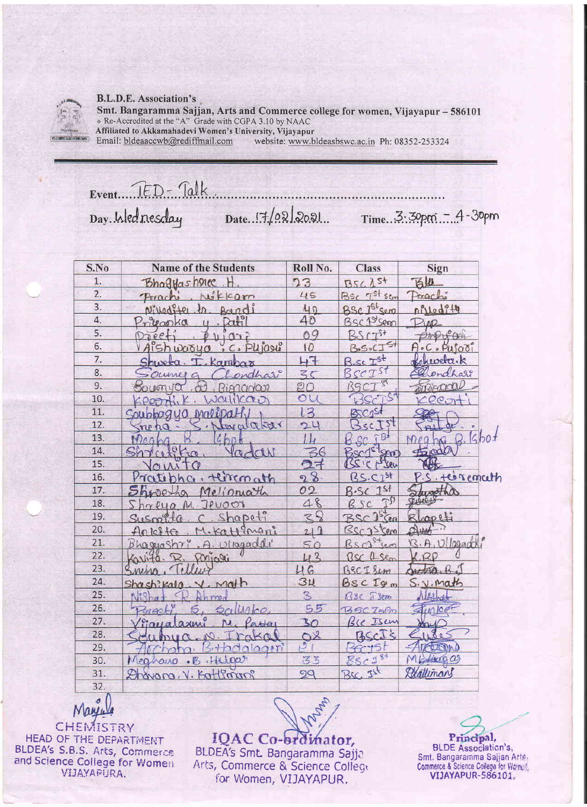

Smt. Bangaramma Sajjan, Arts and Commerce college for women, Vijayapur - 586101 . Re-Accredited at the "A" Grade with CGPA 3.10 by NAAC Affiliated to Akkamahadevi Women's University, Vijayapur Email: bldeaaccwb@rediffmail.com website: www.bldeasbswc.ac.in Ph: 08352-253324

Event. IED-Talk Date. 17/02/2021. Time. 3.30pm - 4-30pm Day. Wednesday

| S.No             | <b>Name of the Students</b>                          | Roll No.                 | <b>Class</b>                 | Sign                           |
|------------------|------------------------------------------------------|--------------------------|------------------------------|--------------------------------|
| 1.               | <b>Bhagyashones</b>                                  | 23                       | $\lambda$ st<br>B5C          | 百山                             |
| $\overline{2}$ . | wikkam<br>Porach                                     | 45                       | BSC TSt Scon                 | Prachi                         |
| $\overline{3}$ . | Nikodite<br>Bandi                                    | 40                       | BSC Ist sem                  | offodity                       |
| 4.               | Datil<br>$2r$ ileanka<br>$\mathfrak{g}$              | 40                       | BSC 1St Seron                | 200                            |
| 5.               | $D\bar{\theta}ee$<br>111027                          | 09                       | $575+$<br>125                | $\partial \mathcal{W}^{\circ}$ |
| 6.               | C. Plijague<br>Aishwasyo<br>$\overline{\phantom{a}}$ | 10                       | $5+$<br>$B_0S_0CT$           | A.C. Pufooi                    |
| 7.               | Kambax                                               | $H^+$                    | 7st<br>$\epsilon$            | hweba.k                        |
| 8.               | chari<br>- Oceane                                    | 35                       | SCTST                        | endhar                         |
| 9.               | OD<br>50116n                                         | อก                       | $\mathcal{S}^{\prime}$<br>९९ | on Rienarda                    |
| 10.              |                                                      | $\circ$                  |                              | OΘ.                            |
| 11.              | ModfDAf<br>Soupbag<br>UM.                            | 3                        | <b>BSCgSt</b>                |                                |
| 12.              | twala kar<br>$\pi P$ ha                              | 24                       | $3sc$ Tst                    |                                |
| 13.              | $4$ bn $\sigma$                                      |                          | 9<br>$Q_{C}$                 | kbot<br>$\rho_0$               |
| 14.              | $0$ fra<br>adas<br>C <sub>0</sub>                    | 36                       | Benj <sup>et</sup> sen       | $\pm \text{rad}$               |
| 15.              |                                                      | ライ                       | BSIC prisen                  |                                |
| 16.              | Prote<br>tlirconath<br>$\mathcal{A}$                 | 8<br>$\mathbf{Q}$        | $CT^{5+}$<br>ß               | P.S. testemath                 |
| 17.              | Melinnath                                            | 02                       | 151                          | ustha                          |
| 18.              | UOON<br>₽                                            | 48                       | R                            | 71000                          |
| 19.              | Shapeti                                              | 3                        | $25$ ca<br>BSC               | copeti                         |
| 20.              | Kattinani<br>$A_n$ $c_n$                             | 21                       | Bsc25                        | Aunt                           |
| 21.              | A. Utragaddi<br>Bhagashr                             | 50                       | $s +$ (e.m)<br>Rsc1          | B.A, U 09900                   |
| 22.              | ariali                                               | 43                       | RS<br>$1$ sem                | CPR                            |
| 23.              |                                                      | 46                       | BSCISLM                      | JAZ DA                         |
| 24.              | Math                                                 | 34                       | BSC<br>$I\circ m$            | S. V. Math                     |
| 25.              |                                                      | $\overline{\mathcal{S}}$ | Sem                          |                                |
| 26.              | t                                                    | 55                       | $T = P$<br>745               | $\leq$ unlog                   |
| 27.              | Gaya<br>$a + a$                                      | 30                       | Isem                         |                                |
| 28.              | 50.1                                                 | O <sup>2</sup>           | $cc\bar{1}$                  | wes                            |
| 29.              | 002r                                                 | ق                        |                              | <b>RELEVAL</b>                 |
| 30.              | · Helpat<br>$\cdot$ $\mathbb{Z}$<br>earourd          | 33                       | 25c154                       | $b + i\alpha Q Q$              |
| 31.              | comp<br>For<br>ν.<br><u>NONON</u>                    | 99                       | 725<br>BSC.                  | Exattemans                     |
| 32.              |                                                      |                          |                              |                                |

CHEMISTRY HEAD OF THE DEPARTMENT<br>BLDEA's S.B.S. Arts, Commerce<br>and Science College for Women VIJAYAPURA.

IQAC Co-ordinator, BLDEA's Smt. Bangaramma Sajja Arts, Commerce & Science College for Women, VIJAYAPUR.

Wayn,

Principal,<br>BLDE Association's, Smt. Bangaramma Sajjan Arts, Commerce & Science College for Worner! VIJAYAPUR-586101,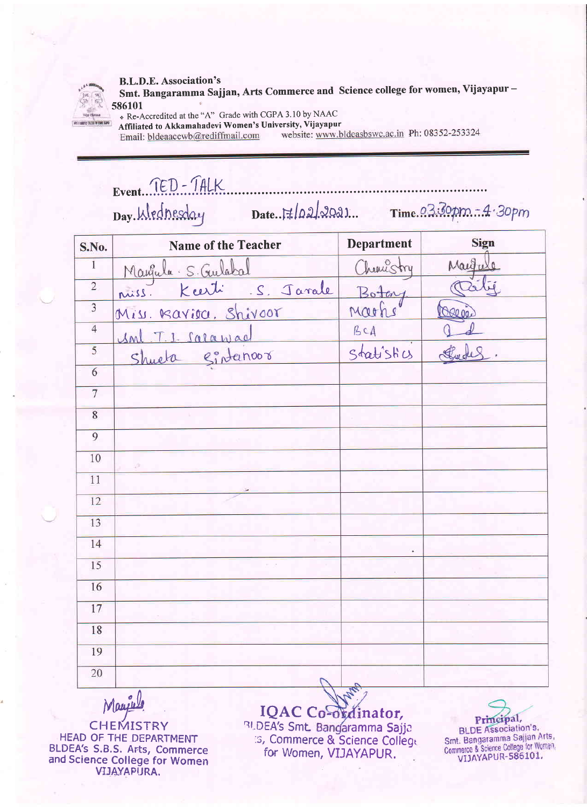

Smt. Bangaramma Sajjan, Arts Commerce and Science college for women, Vijayapur-586101

\* Re-Accredited at the "A" Grade with CGPA 3.10 by NAAC Affiliated to Akkamahadevi Women's University, Vijayapur

Email: bldeaaccwb@rediffmail.com

website: www.bldeasbswc.ac.in Ph: 08352-253324

Event. TED - TALK

| S.No.                   | <b>Name of the Teacher</b>                                 | <b>Department</b> | Sign    |
|-------------------------|------------------------------------------------------------|-------------------|---------|
| $\overline{1}$          |                                                            | Chemistry         | Margule |
| $\overline{2}$          | Maugula S. Gulabal Chemist<br>nuiss Keerti S. Javale Boton |                   |         |
| $\overline{\mathbf{3}}$ | Miss. Bavioa, Shivoor                                      | Marks             | Caroi   |
| $\overline{4}$          | Inl. T. 1. Salawae                                         | BCA               |         |
| $\overline{5}$          | Shueta Sintanoor                                           | Statistics        |         |
| $\overline{6}$          |                                                            |                   |         |
| $\overline{7}$          |                                                            |                   |         |
| $\overline{8}$          |                                                            |                   |         |
| $\overline{9}$          |                                                            |                   |         |
| 10                      | ΔŴ                                                         |                   |         |
| 11                      |                                                            |                   |         |
| 12                      |                                                            |                   |         |
| 13                      |                                                            |                   |         |
| 14                      |                                                            |                   |         |
| 15                      |                                                            |                   |         |
| 16                      |                                                            |                   |         |
| 17                      |                                                            |                   |         |
| 18                      |                                                            |                   |         |
| 19                      |                                                            |                   |         |
| 20                      |                                                            |                   |         |
|                         | $\Lambda$                                                  | $\mathbb{R}^2$    |         |

Maurie

**CHEMISTRY** HEAD OF THE DEPARTMENT **BLDEA's S.B.S. Arts, Commerce**<br>and Science College for Women<br>VIJAYAPURA.

IQAC Co-ordinator, **RUDEA's Smt. Bangaramma Sajja**<br>
15, Commerce & Science College for Women, VIJAYAPUR.

Principal, **BLDE Association's,** Smt. Bangaramma Sajjan Arts,<br>Commerce & Science College for Women,<br>VIJAYAPUR-586101.